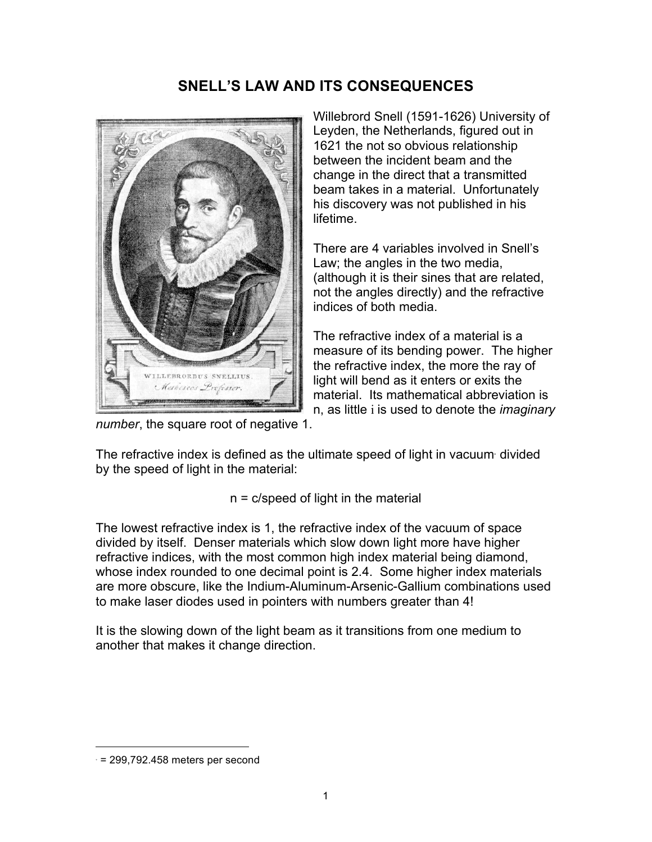## **SNELL'S LAW AND ITS CONSEQUENCES**



Willebrord Snell (1591-1626) University of Leyden, the Netherlands, figured out in 1621 the not so obvious relationship between the incident beam and the change in the direct that a transmitted beam takes in a material. Unfortunately his discovery was not published in his lifetime.

There are 4 variables involved in Snell's Law; the angles in the two media, (although it is their sines that are related, not the angles directly) and the refractive indices of both media.

The refractive index of a material is a measure of its bending power. The higher the refractive index, the more the ray of light will bend as it enters or exits the material. Its mathematical abbreviation is n, as little i is used to denote the *imaginary* 

*number*, the square root of negative 1.

The refractive index is defined as the ultimate speed of light in vacuum<sup>∗</sup> divided by the speed of light in the material:

n = c/speed of light in the material

The lowest refractive index is 1, the refractive index of the vacuum of space divided by itself. Denser materials which slow down light more have higher refractive indices, with the most common high index material being diamond, whose index rounded to one decimal point is 2.4. Some higher index materials are more obscure, like the Indium-Aluminum-Arsenic-Gallium combinations used to make laser diodes used in pointers with numbers greater than 4!

It is the slowing down of the light beam as it transitions from one medium to another that makes it change direction.

 $\overline{a}$ 

<sup>∗</sup> = 299,792.458 meters per second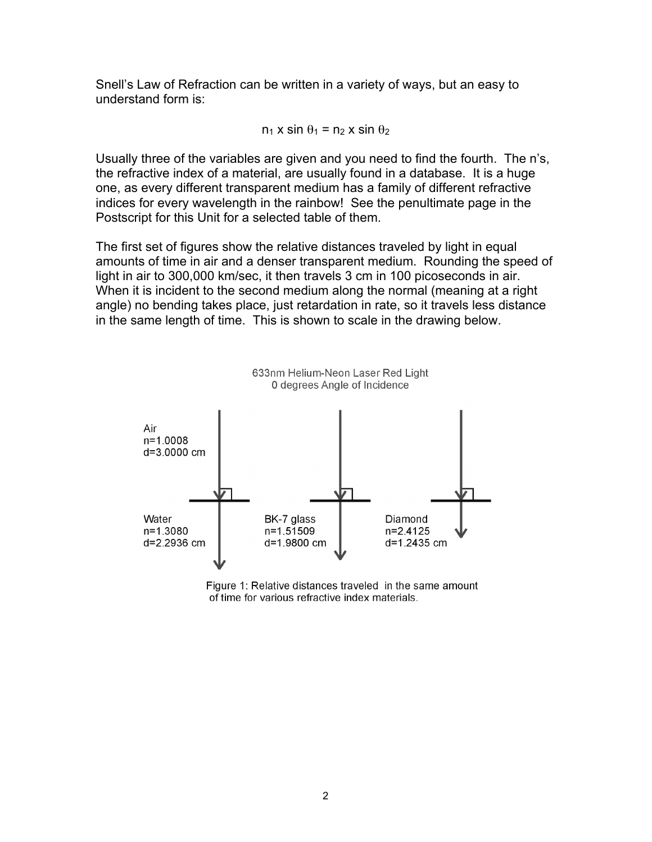Snell's Law of Refraction can be written in a variety of ways, but an easy to understand form is:

 $n_1$  x sin  $\theta_1$  =  $n_2$  x sin  $\theta_2$ 

Usually three of the variables are given and you need to find the fourth. The n's, the refractive index of a material, are usually found in a database. It is a huge one, as every different transparent medium has a family of different refractive indices for every wavelength in the rainbow! See the penultimate page in the Postscript for this Unit for a selected table of them.

The first set of figures show the relative distances traveled by light in equal amounts of time in air and a denser transparent medium. Rounding the speed of light in air to 300,000 km/sec, it then travels 3 cm in 100 picoseconds in air. When it is incident to the second medium along the normal (meaning at a right angle) no bending takes place, just retardation in rate, so it travels less distance in the same length of time. This is shown to scale in the drawing below.

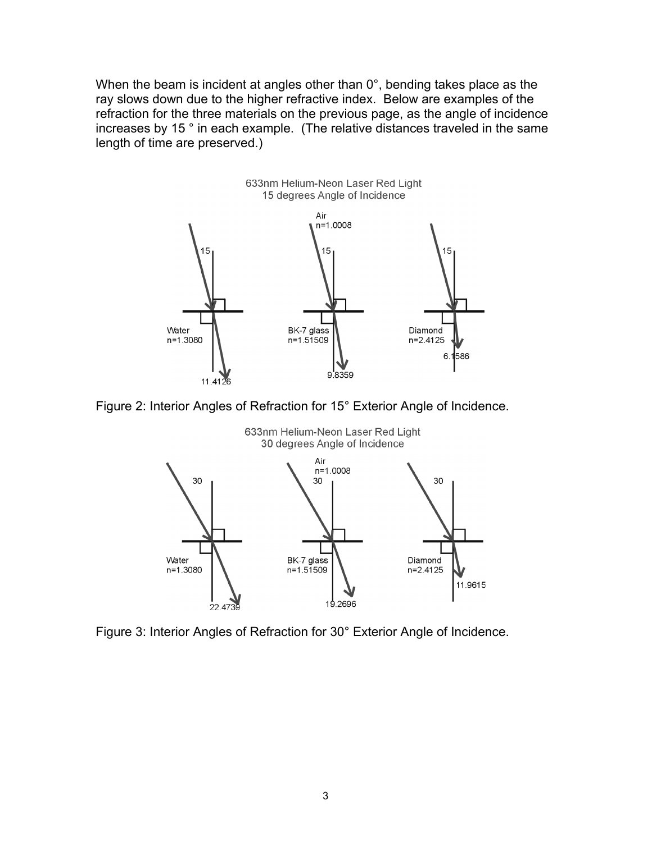When the beam is incident at angles other than 0°, bending takes place as the ray slows down due to the higher refractive index. Below are examples of the refraction for the three materials on the previous page, as the angle of incidence increases by 15 ° in each example. (The relative distances traveled in the same length of time are preserved.)



Figure 2: Interior Angles of Refraction for 15° Exterior Angle of Incidence.



633nm Helium-Neon Laser Red Light

Figure 3: Interior Angles of Refraction for 30° Exterior Angle of Incidence.